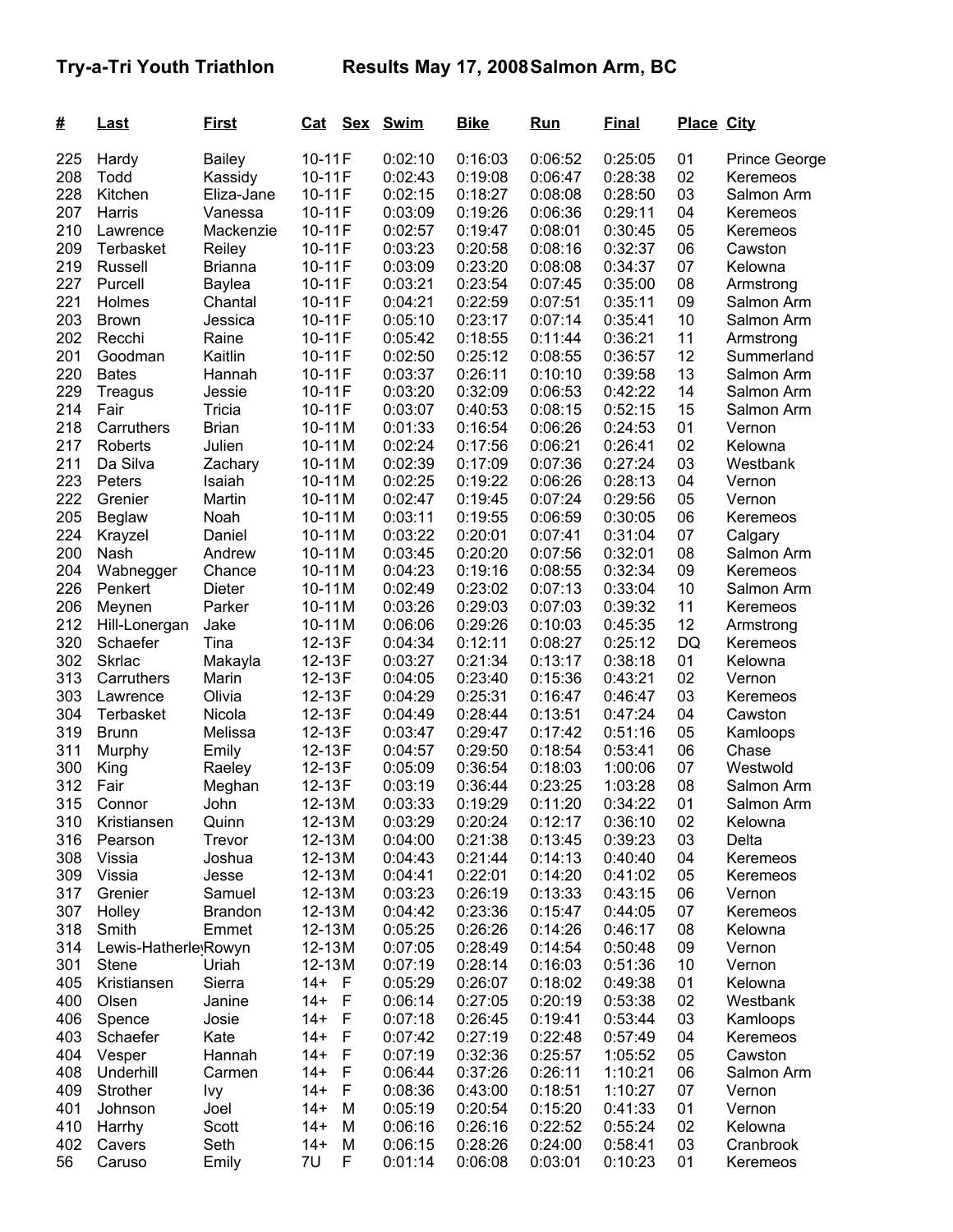| #          | <b>Last</b>          | <u>First</u>            | <u>Cat</u>       | <u>Sex</u>         | <b>Swim</b>        | <b>Bike</b>        | <u>Run</u>         | <b>Final</b>       | <b>Place City</b> |                      |
|------------|----------------------|-------------------------|------------------|--------------------|--------------------|--------------------|--------------------|--------------------|-------------------|----------------------|
| 225        | Hardy                | <b>Bailey</b>           | 10-11F           |                    | 0:02:10            | 0:16:03            | 0:06:52            | 0:25:05            | 01                | Prince George        |
| 208        | Todd                 | Kassidy                 | 10-11F           |                    | 0:02:43            | 0:19:08            | 0:06:47            | 0:28:38            | 02                | Keremeos             |
| 228        | Kitchen              | Eliza-Jane              | 10-11F           |                    | 0:02:15            | 0:18:27            | 0:08:08            | 0:28:50            | 03                | Salmon Arm           |
| 207        | Harris               | Vanessa                 | 10-11F           |                    | 0:03:09            | 0:19:26            | 0:06:36            | 0:29:11            | 04                | Keremeos             |
| 210        | Lawrence             | Mackenzie               | 10-11F           |                    | 0:02:57            | 0:19:47            | 0:08:01            | 0:30:45            | 05                | Keremeos             |
| 209        | Terbasket            | Reiley                  | 10-11F           |                    | 0:03:23            | 0:20:58            | 0:08:16            | 0:32:37            | 06                | Cawston              |
| 219        | Russell              | <b>Brianna</b>          | 10-11F           |                    | 0:03:09            | 0:23:20            | 0:08:08            | 0:34:37            | 07                | Kelowna              |
| 227        | Purcell              | <b>Baylea</b>           | 10-11F           |                    | 0:03:21            | 0:23:54            | 0:07:45            | 0:35:00            | 08                | Armstrong            |
| 221        | Holmes               | Chantal                 | 10-11F           |                    | 0:04:21            | 0:22:59            | 0:07:51            | 0:35:11            | 09                | Salmon Arm           |
| 203        | <b>Brown</b>         | Jessica                 | $10-11F$         |                    | 0:05:10            | 0:23:17            | 0:07:14            | 0:35:41            | 10                | Salmon Arm           |
| 202        | Recchi               | Raine                   | 10-11F           |                    | 0:05:42            | 0:18:55            | 0:11:44            | 0:36:21            | 11                | Armstrong            |
| 201        | Goodman              | Kaitlin                 | 10-11F           |                    | 0:02:50            | 0:25:12            | 0:08:55            | 0:36:57            | 12                | Summerland           |
| 220        | <b>Bates</b>         | Hannah                  | 10-11F           |                    | 0:03:37            | 0:26:11            | 0:10:10            | 0:39:58            | 13                | Salmon Arm           |
| 229        | Treagus              | Jessie                  | 10-11F           |                    | 0:03:20            | 0:32:09            | 0:06:53            | 0:42:22            | 14                | Salmon Arm           |
| 214        | Fair                 | <b>Tricia</b>           | 10-11F           |                    | 0:03:07            | 0:40:53            | 0:08:15            | 0:52:15            | 15                | Salmon Arm           |
| 218        | Carruthers           | <b>Brian</b>            | $10-11M$         |                    | 0:01:33            | 0:16:54            | 0:06:26            | 0:24:53            | 01                | Vernon               |
| 217        | Roberts              | Julien                  | $10-11M$         |                    | 0:02:24            | 0:17:56            | 0:06:21            | 0:26:41            | 02                | Kelowna              |
| 211        | Da Silva             |                         | $10-11M$         |                    | 0:02:39            | 0:17:09            | 0:07:36            | 0:27:24            | 03                | Westbank             |
| 223        |                      | Zachary                 | $10-11M$         |                    | 0:02:25            | 0:19:22            | 0:06:26            | 0:28:13            | 04                |                      |
| 222        | Peters               | Isaiah                  |                  |                    |                    |                    |                    |                    | 05                | Vernon               |
| 205        | Grenier              | Martin                  | $10-11M$         |                    | 0:02:47<br>0:03:11 | 0:19:45            | 0:07:24<br>0:06:59 | 0:29:56            | 06                | Vernon               |
|            | <b>Beglaw</b>        | Noah                    | $10-11M$         |                    |                    | 0:19:55            |                    | 0:30:05            |                   | Keremeos             |
| 224        | Krayzel              | Daniel                  | $10-11M$         |                    | 0:03:22            | 0:20:01            | 0:07:41            | 0:31:04            | 07                | Calgary              |
| 200        | Nash                 | Andrew                  | $10-11M$         |                    | 0:03:45            | 0:20:20            | 0:07:56            | 0:32:01            | 08                | Salmon Arm           |
| 204        | Wabnegger            | Chance                  | $10-11M$         |                    | 0:04:23            | 0:19:16            | 0:08:55            | 0:32:34            | 09                | Keremeos             |
| 226        | Penkert              | Dieter                  | $10-11M$         |                    | 0:02:49            | 0:23:02            | 0:07:13            | 0:33:04            | 10                | Salmon Arm           |
| 206        | Meynen               | Parker                  | $10-11M$         |                    | 0:03:26            | 0:29:03            | 0:07:03            | 0:39:32            | 11                | Keremeos             |
| 212        | Hill-Lonergan        | Jake                    | 10-11M           |                    | 0:06:06            | 0:29:26            | 0:10:03            | 0:45:35            | 12                | Armstrong            |
| 320        | Schaefer             | Tina                    | 12-13F           |                    | 0:04:34            | 0:12:11            | 0:08:27            | 0:25:12            | DQ                | Keremeos             |
| 302        | <b>Skrlac</b>        | Makayla                 | 12-13F           |                    | 0:03:27            | 0:21:34            | 0:13:17            | 0:38:18            | 01                | Kelowna              |
| 313        | Carruthers           | Marin                   | 12-13F           |                    | 0:04:05            | 0:23:40            | 0:15:36            | 0:43:21            | 02                | Vernon               |
| 303        | Lawrence             | Olivia                  | 12-13F           |                    | 0:04:29            | 0:25:31            | 0:16:47            | 0:46:47            | 03                | Keremeos             |
| 304        | <b>Terbasket</b>     | Nicola                  | 12-13F           |                    | 0:04:49            | 0:28:44            | 0:13:51            | 0:47:24            | 04                | Cawston              |
| 319        | <b>Brunn</b>         | Melissa                 | 12-13F           |                    | 0:03:47            | 0:29:47            | 0:17:42            | 0:51:16            | 05                | Kamloops             |
| 311        | Murphy               | Emily                   | 12-13F           |                    | 0:04:57            | 0:29:50            | 0:18:54            | 0:53:41            | 06                | Chase                |
| 300<br>312 | King                 | Raeley                  | 12-13F           |                    | 0:05:09            | 0:36:54            | 0:18:03            | 1:00:06            | 07<br>08          | Westwold             |
|            | Fair                 | Meghan                  | 12-13F           |                    | 0:03:19            | 0:36:44            | 0:23:25            | 1:03:28            | 01                | Salmon Arm           |
| 315        | Connor               | John                    | 12-13M           |                    | 0:03:33            | 0:19:29<br>0:20:24 | 0:11:20            | 0:34:22<br>0:36:10 |                   | Salmon Arm           |
| 310        | Kristiansen          | Quinn                   | 12-13M           |                    | 0:03:29            | 0:21:38            | 0:12:17            |                    | 02                | Kelowna              |
| 316        | Pearson              | Trevor                  | 12-13M           |                    | 0:04:00<br>0:04:43 |                    | 0:13:45            | 0:39:23            | 03<br>04          | Delta                |
| 308        | Vissia               | Joshua                  | 12-13M           |                    |                    | 0:21:44<br>0:22:01 | 0:14:13<br>0:14:20 | 0:40:40            | 05                | Keremeos             |
| 309<br>317 | Vissia<br>Grenier    | Jesse                   | 12-13M<br>12-13M |                    | 0:04:41<br>0:03:23 | 0:26:19            | 0:13:33            | 0:41:02<br>0:43:15 | 06                | Keremeos             |
| 307        |                      | Samuel                  | 12-13M           |                    | 0:04:42            | 0:23:36            | 0:15:47            |                    | 07                | Vernon               |
| 318        | Holley<br>Smith      | <b>Brandon</b><br>Emmet |                  |                    |                    |                    |                    | 0:44:05            |                   | Keremeos             |
| 314        | Lewis-Hatherle Rowyn |                         | 12-13M<br>12-13M |                    | 0:05:25<br>0:07:05 | 0:26:26<br>0:28:49 | 0:14:26<br>0:14:54 | 0:46:17<br>0:50:48 | 08<br>09          | Kelowna<br>Vernon    |
| 301        | <b>Stene</b>         | Uriah                   | 12-13M           |                    | 0:07:19            | 0:28:14            | 0:16:03            | 0:51:36            | 10                | Vernon               |
| 405        |                      | Sierra                  | $14+$            |                    | 0:05:29            |                    | 0:18:02            | 0:49:38            | 01                | Kelowna              |
| 400        | Kristiansen<br>Olsen |                         | $14+$            | - F<br>$\mathsf F$ | 0:06:14            | 0:26:07<br>0:27:05 | 0:20:19            | 0:53:38            | 02                |                      |
| 406        | Spence               | Janine<br>Josie         | $14+$            | F                  | 0:07:18            | 0:26:45            | 0:19:41            | 0:53:44            | 03                | Westbank<br>Kamloops |
| 403        | Schaefer             | Kate                    | $14+$            | $\mathsf F$        | 0:07:42            | 0:27:19            | 0:22:48            | 0:57:49            | 04                | Keremeos             |
| 404        | Vesper               | Hannah                  | $14+$            | $\mathsf F$        | 0:07:19            | 0:32:36            | 0:25:57            | 1:05:52            | 05                | Cawston              |
| 408        | Underhill            | Carmen                  | $14+$            | F                  | 0:06:44            | 0:37:26            | 0:26:11            | 1:10:21            | 06                | Salmon Arm           |
| 409        | Strother             |                         | $14+$            | F                  | 0:08:36            | 0:43:00            | 0:18:51            | 1:10:27            | 07                | Vernon               |
| 401        |                      | Ivy                     | $14+$            | M                  | 0:05:19            | 0:20:54            | 0:15:20            | 0:41:33            | 01                |                      |
| 410        | Johnson              | Joel<br>Scott           | $14+$            | M                  | 0:06:16            | 0:26:16            | 0:22:52            | 0:55:24            | 02                | Vernon<br>Kelowna    |
| 402        | Harrhy<br>Cavers     | Seth                    | $14+$            | M                  | 0:06:15            | 0:28:26            | 0:24:00            | 0:58:41            | 03                | Cranbrook            |
| 56         | Caruso               | Emily                   | 7U               | F                  | 0:01:14            | 0:06:08            | 0:03:01            | 0:10:23            | 01                | Keremeos             |
|            |                      |                         |                  |                    |                    |                    |                    |                    |                   |                      |